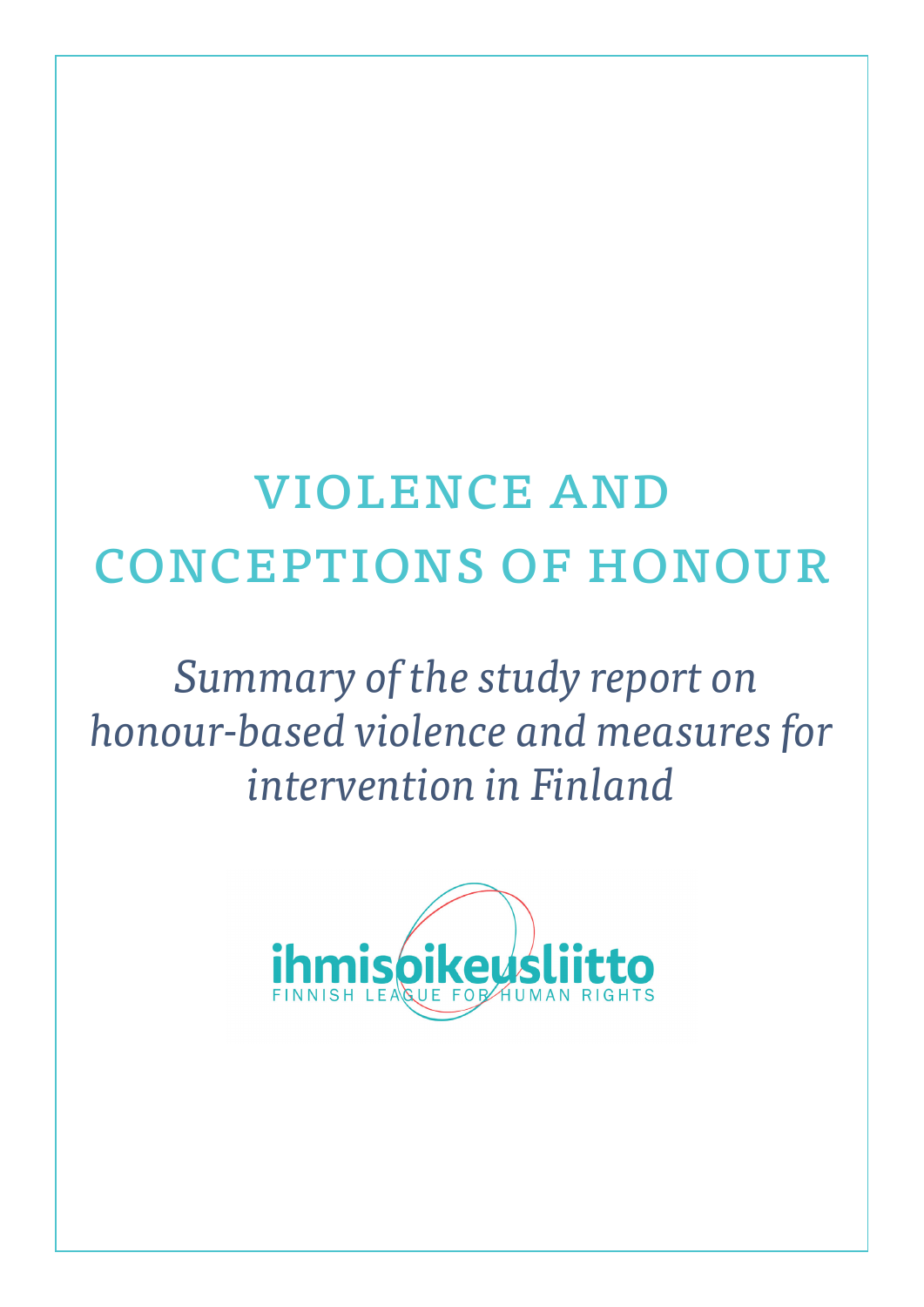# violence and conceptions of honour

# *Summary of the study report on honour-based violence and measures for intervention in Finland*

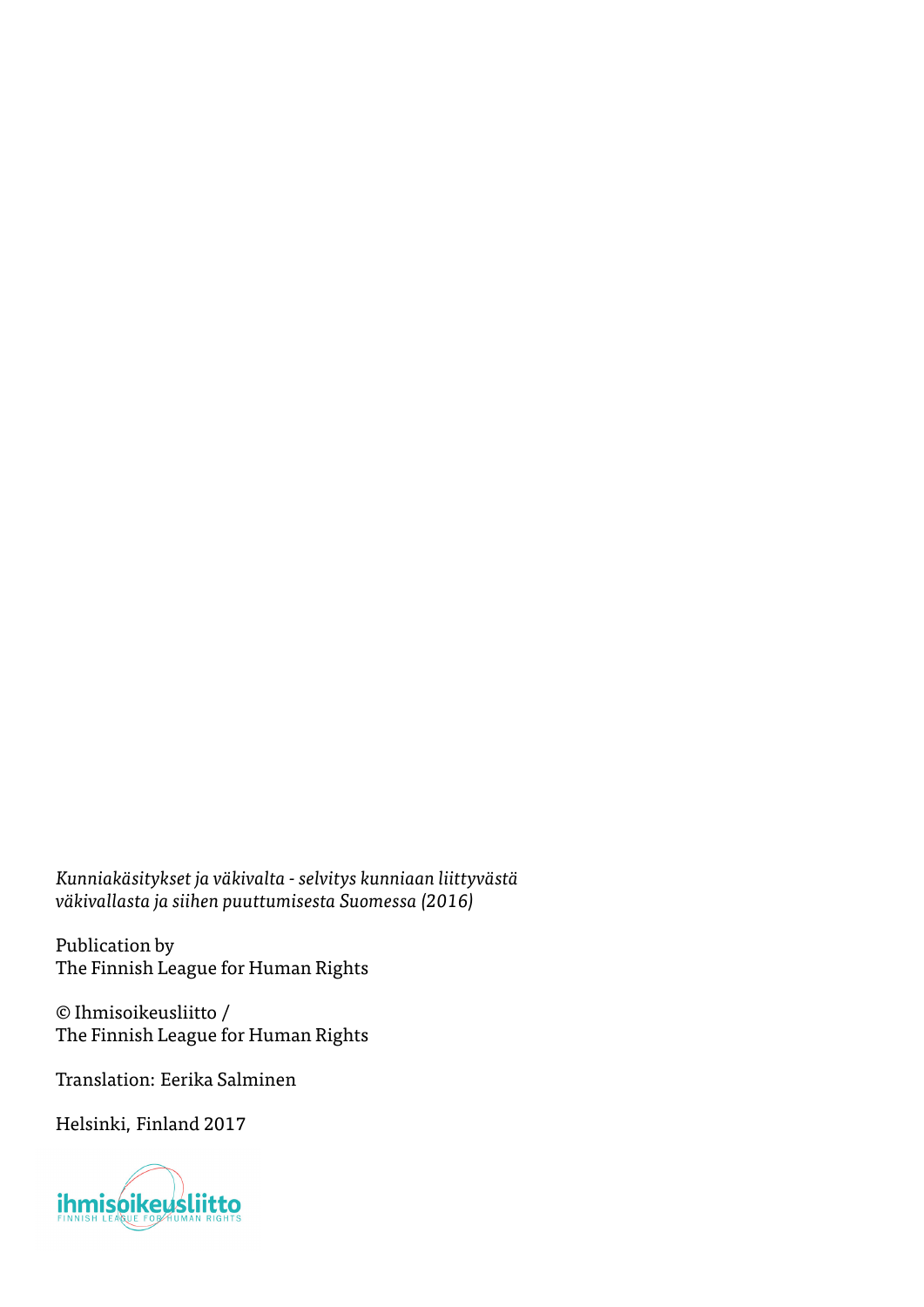*Kunniakäsitykset ja väkivalta - selvitys kunniaan liittyvästä väkivallasta ja siihen puuttumisesta Suomessa (2016)*

Publication by The Finnish League for Human Rights

© Ihmisoikeusliitto / The Finnish League for Human Rights

Translation: Eerika Salminen

Helsinki, Finland 2017

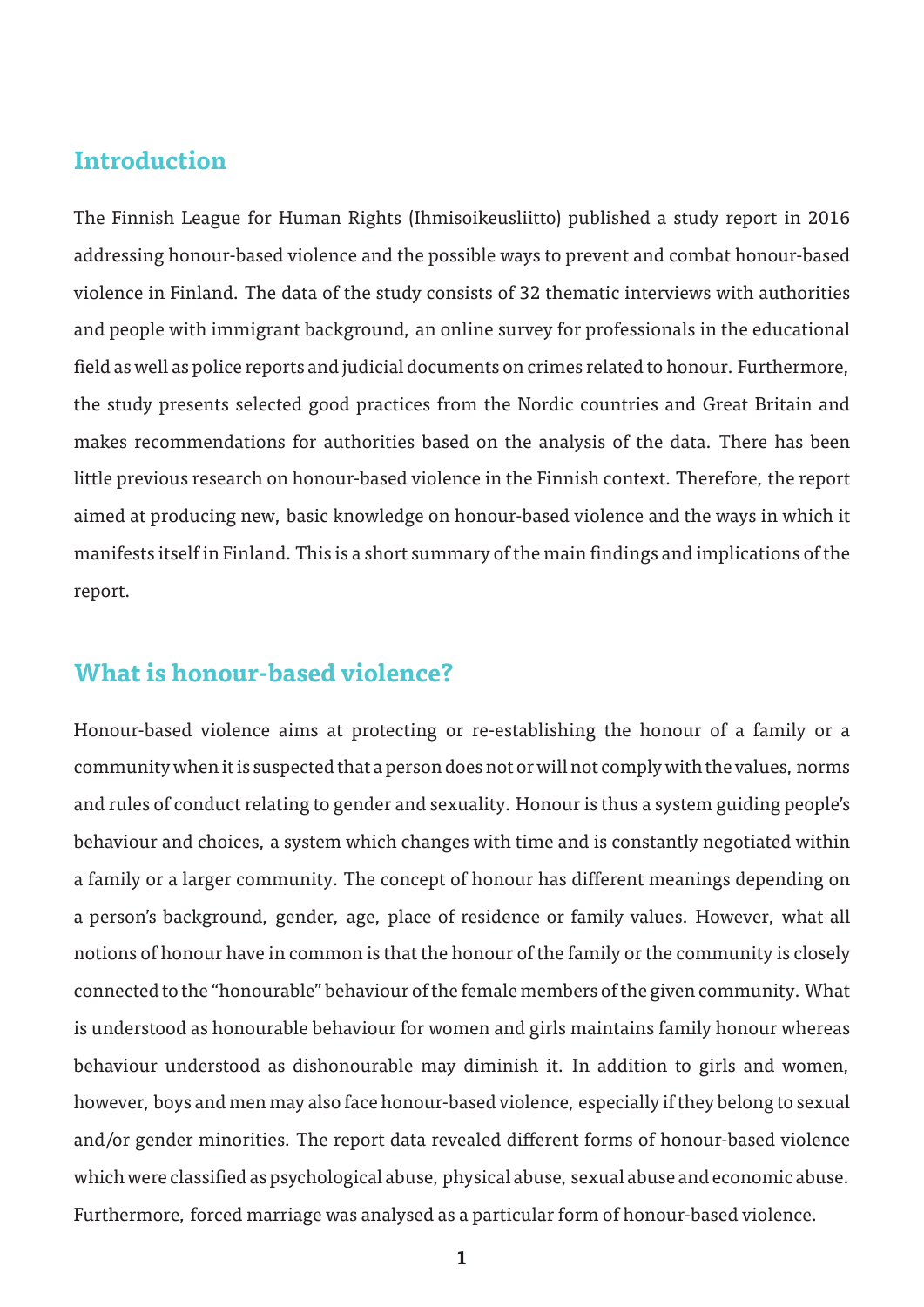#### **Introduction**

The Finnish League for Human Rights (Ihmisoikeusliitto) published a study report in 2016 addressing honour-based violence and the possible ways to prevent and combat honour-based violence in Finland. The data of the study consists of 32 thematic interviews with authorities and people with immigrant background, an online survey for professionals in the educational field as well as police reports and judicial documents on crimes related to honour. Furthermore, the study presents selected good practices from the Nordic countries and Great Britain and makes recommendations for authorities based on the analysis of the data. There has been little previous research on honour-based violence in the Finnish context. Therefore, the report aimed at producing new, basic knowledge on honour-based violence and the ways in which it manifests itself in Finland. This is a short summary of the main findings and implications of the report.

#### **What is honour-based violence?**

Honour-based violence aims at protecting or re-establishing the honour of a family or a community when it is suspected that a person does not or will not comply with the values, norms and rules of conduct relating to gender and sexuality. Honour is thus a system guiding people's behaviour and choices, a system which changes with time and is constantly negotiated within a family or a larger community. The concept of honour has different meanings depending on a person's background, gender, age, place of residence or family values. However, what all notions of honour have in common is that the honour of the family or the community is closely connected to the "honourable" behaviour of the female members of the given community. What is understood as honourable behaviour for women and girls maintains family honour whereas behaviour understood as dishonourable may diminish it. In addition to girls and women, however, boys and men may also face honour-based violence, especially if they belong to sexual and/or gender minorities. The report data revealed different forms of honour-based violence which were classified as psychological abuse, physical abuse, sexual abuse and economic abuse. Furthermore, forced marriage was analysed as a particular form of honour-based violence.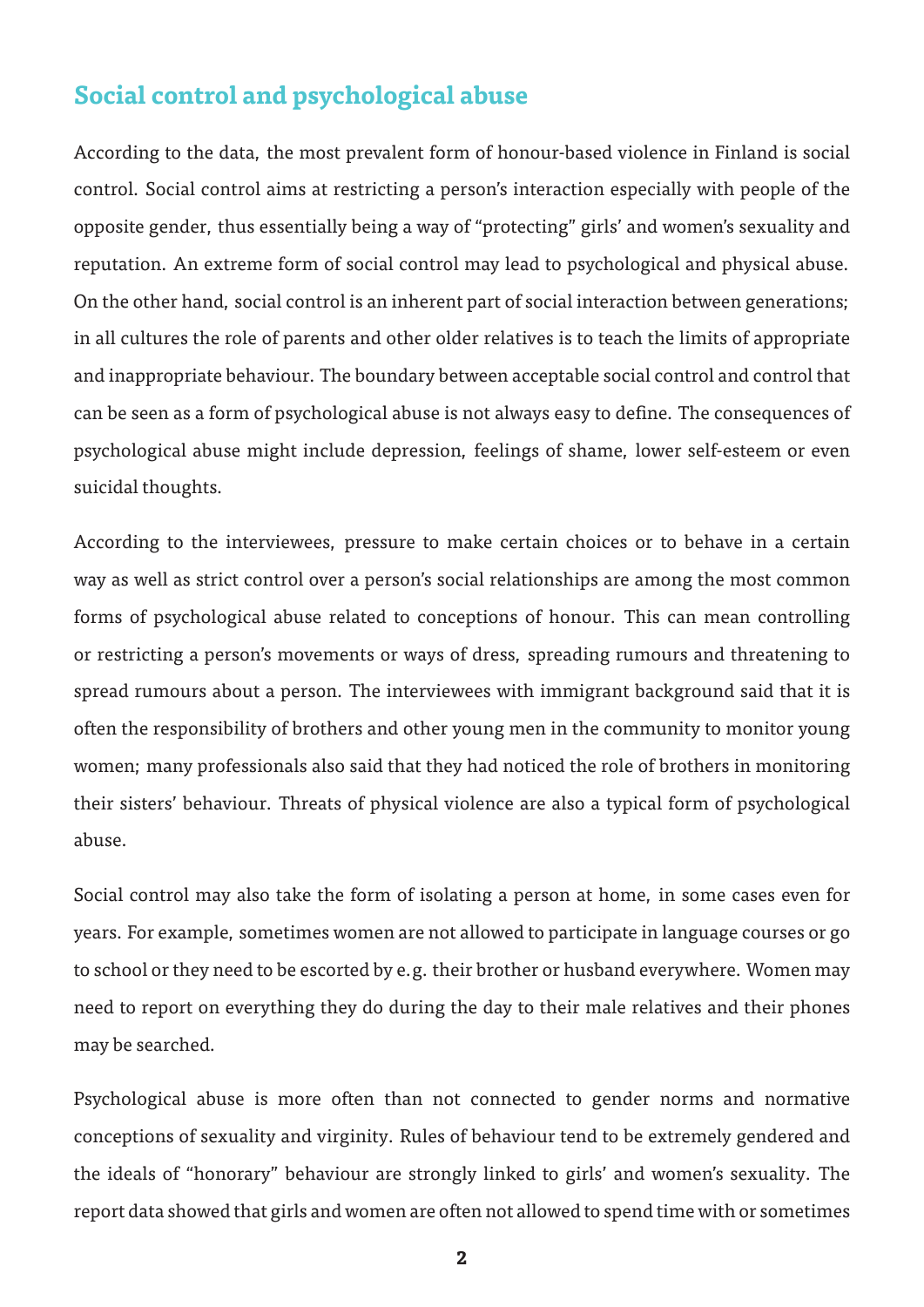#### **Social control and psychological abuse**

According to the data, the most prevalent form of honour-based violence in Finland is social control. Social control aims at restricting a person's interaction especially with people of the opposite gender, thus essentially being a way of "protecting" girls' and women's sexuality and reputation. An extreme form of social control may lead to psychological and physical abuse. On the other hand, social control is an inherent part of social interaction between generations; in all cultures the role of parents and other older relatives is to teach the limits of appropriate and inappropriate behaviour. The boundary between acceptable social control and control that can be seen as a form of psychological abuse is not always easy to define. The consequences of psychological abuse might include depression, feelings of shame, lower self-esteem or even suicidal thoughts.

According to the interviewees, pressure to make certain choices or to behave in a certain way as well as strict control over a person's social relationships are among the most common forms of psychological abuse related to conceptions of honour. This can mean controlling or restricting a person's movements or ways of dress, spreading rumours and threatening to spread rumours about a person. The interviewees with immigrant background said that it is often the responsibility of brothers and other young men in the community to monitor young women; many professionals also said that they had noticed the role of brothers in monitoring their sisters' behaviour. Threats of physical violence are also a typical form of psychological abuse.

Social control may also take the form of isolating a person at home, in some cases even for years. For example, sometimes women are not allowed to participate in language courses or go to school or they need to be escorted by e.g. their brother or husband everywhere. Women may need to report on everything they do during the day to their male relatives and their phones may be searched.

Psychological abuse is more often than not connected to gender norms and normative conceptions of sexuality and virginity. Rules of behaviour tend to be extremely gendered and the ideals of "honorary" behaviour are strongly linked to girls' and women's sexuality. The report data showed that girls and women are often not allowed to spend time with or sometimes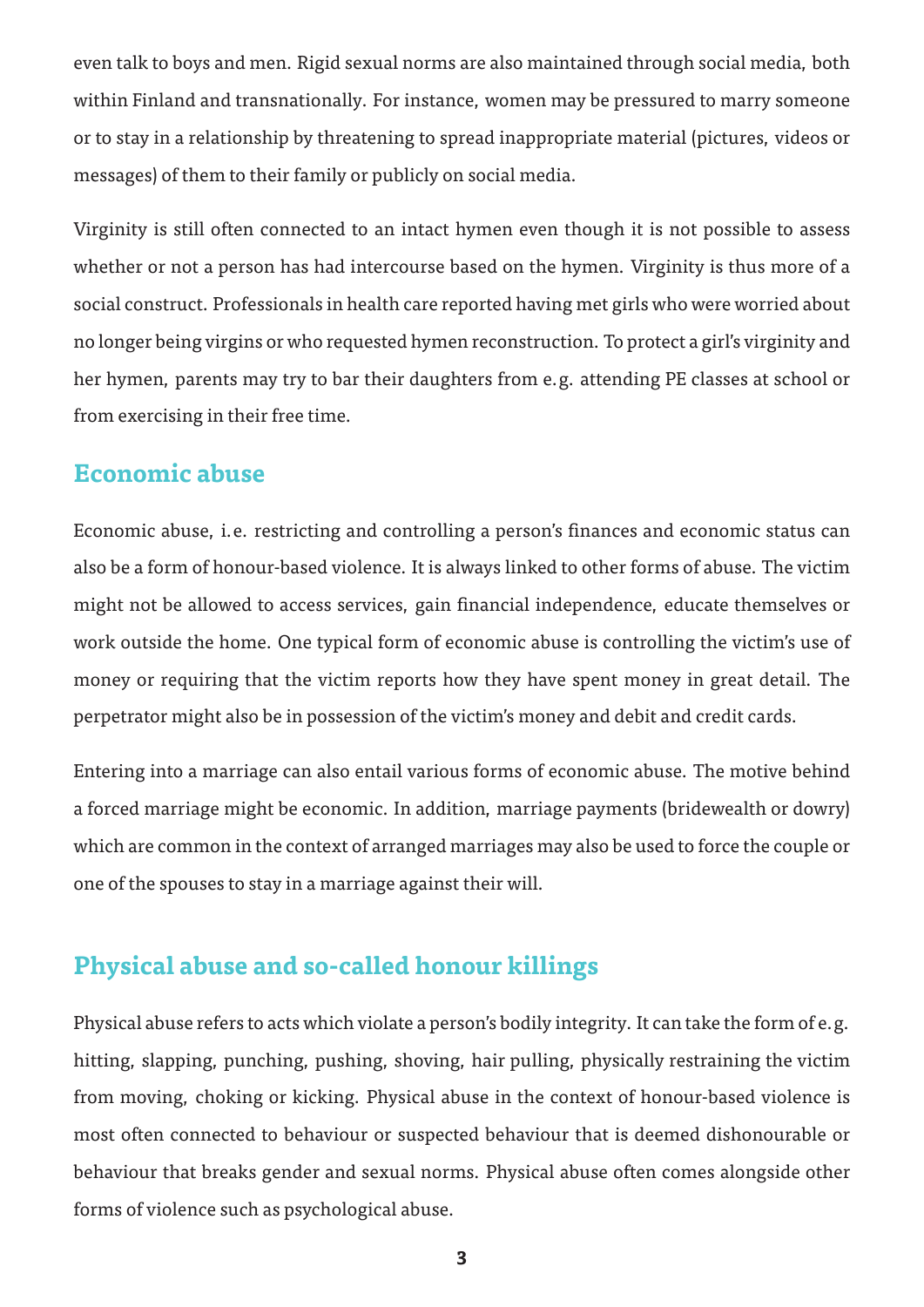even talk to boys and men. Rigid sexual norms are also maintained through social media, both within Finland and transnationally. For instance, women may be pressured to marry someone or to stay in a relationship by threatening to spread inappropriate material (pictures, videos or messages) of them to their family or publicly on social media.

Virginity is still often connected to an intact hymen even though it is not possible to assess whether or not a person has had intercourse based on the hymen. Virginity is thus more of a social construct. Professionals in health care reported having met girls who were worried about no longer being virgins or who requested hymen reconstruction. To protect a girl's virginity and her hymen, parents may try to bar their daughters from e.g. attending PE classes at school or from exercising in their free time.

#### **Economic abuse**

Economic abuse, i.e. restricting and controlling a person's finances and economic status can also be a form of honour-based violence. It is always linked to other forms of abuse. The victim might not be allowed to access services, gain financial independence, educate themselves or work outside the home. One typical form of economic abuse is controlling the victim's use of money or requiring that the victim reports how they have spent money in great detail. The perpetrator might also be in possession of the victim's money and debit and credit cards.

Entering into a marriage can also entail various forms of economic abuse. The motive behind a forced marriage might be economic. In addition, marriage payments (bridewealth or dowry) which are common in the context of arranged marriages may also be used to force the couple or one of the spouses to stay in a marriage against their will.

### **Physical abuse and so-called honour killings**

Physical abuse refers to acts which violate a person's bodily integrity. It can take the form of e.g. hitting, slapping, punching, pushing, shoving, hair pulling, physically restraining the victim from moving, choking or kicking. Physical abuse in the context of honour-based violence is most often connected to behaviour or suspected behaviour that is deemed dishonourable or behaviour that breaks gender and sexual norms. Physical abuse often comes alongside other forms of violence such as psychological abuse.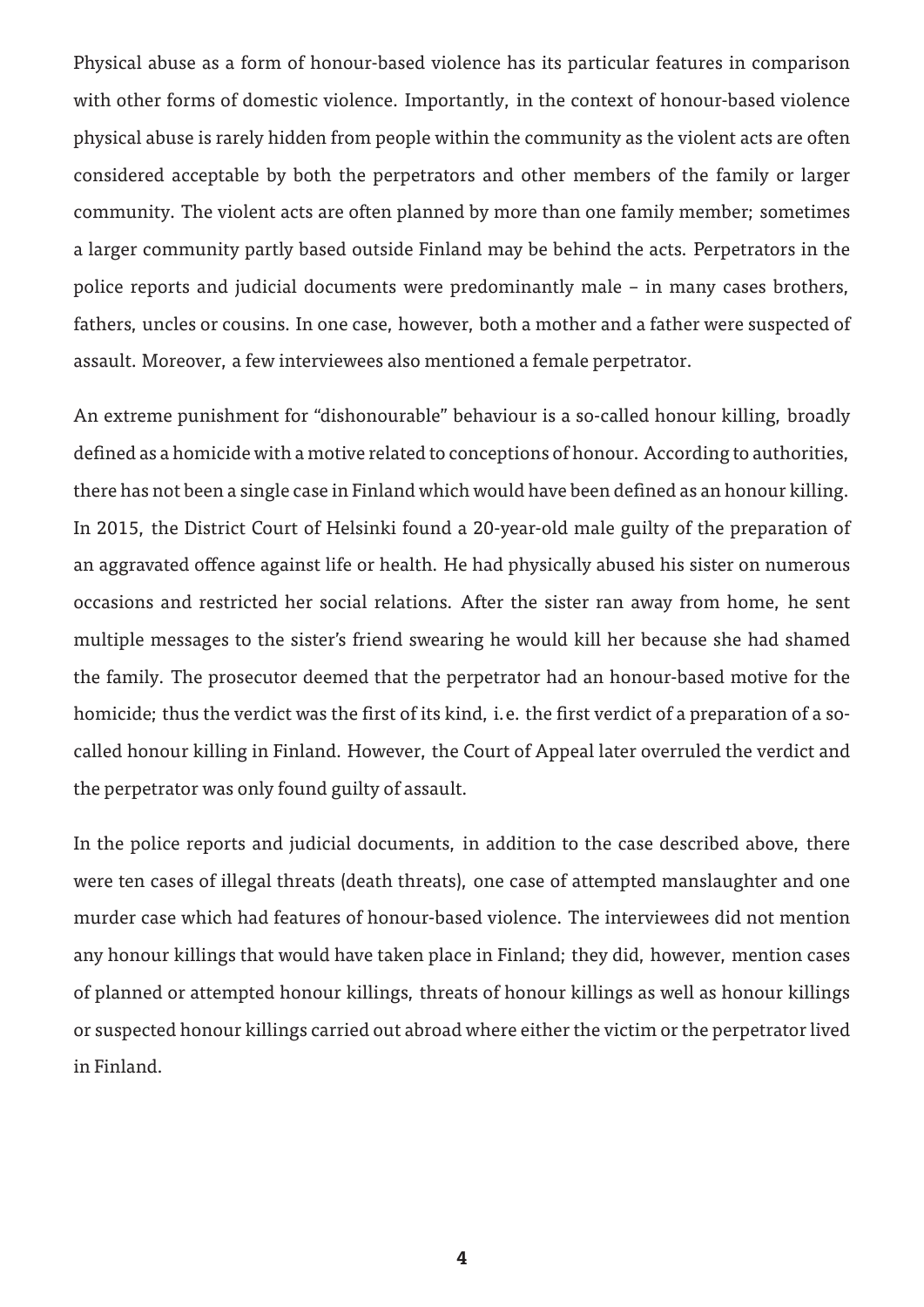Physical abuse as a form of honour-based violence has its particular features in comparison with other forms of domestic violence. Importantly, in the context of honour-based violence physical abuse is rarely hidden from people within the community as the violent acts are often considered acceptable by both the perpetrators and other members of the family or larger community. The violent acts are often planned by more than one family member; sometimes a larger community partly based outside Finland may be behind the acts. Perpetrators in the police reports and judicial documents were predominantly male – in many cases brothers, fathers, uncles or cousins. In one case, however, both a mother and a father were suspected of assault. Moreover, a few interviewees also mentioned a female perpetrator.

An extreme punishment for "dishonourable" behaviour is a so-called honour killing, broadly defined as a homicide with a motive related to conceptions of honour. According to authorities, there has not been a single case in Finland which would have been defined as an honour killing. In 2015, the District Court of Helsinki found a 20-year-old male guilty of the preparation of an aggravated offence against life or health. He had physically abused his sister on numerous occasions and restricted her social relations. After the sister ran away from home, he sent multiple messages to the sister's friend swearing he would kill her because she had shamed the family. The prosecutor deemed that the perpetrator had an honour-based motive for the homicide; thus the verdict was the first of its kind, i.e. the first verdict of a preparation of a socalled honour killing in Finland. However, the Court of Appeal later overruled the verdict and the perpetrator was only found guilty of assault.

In the police reports and judicial documents, in addition to the case described above, there were ten cases of illegal threats (death threats), one case of attempted manslaughter and one murder case which had features of honour-based violence. The interviewees did not mention any honour killings that would have taken place in Finland; they did, however, mention cases of planned or attempted honour killings, threats of honour killings as well as honour killings or suspected honour killings carried out abroad where either the victim or the perpetrator lived in Finland.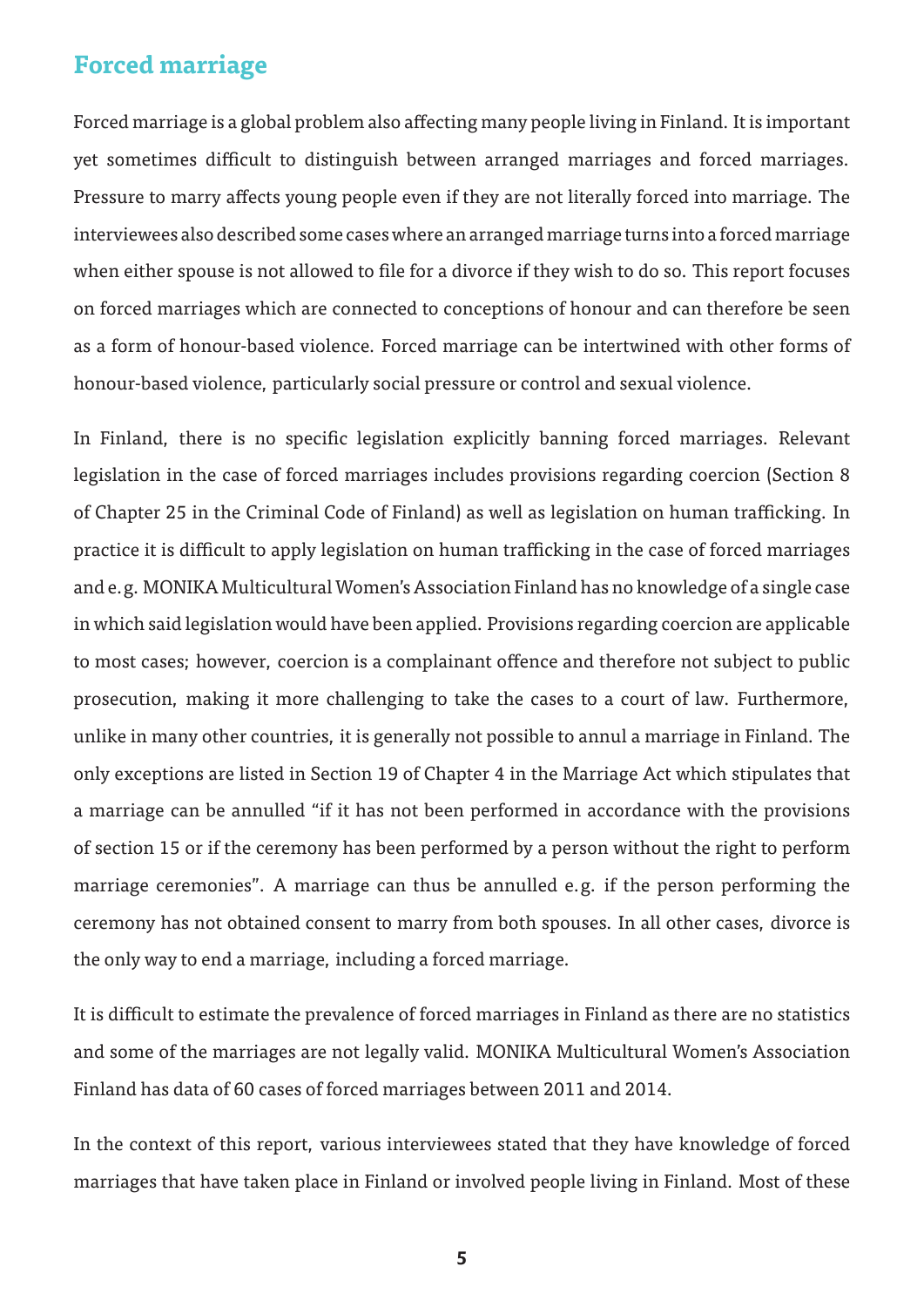## **Forced marriage**

Forced marriage is a global problem also affecting many people living in Finland. It is important yet sometimes difficult to distinguish between arranged marriages and forced marriages. Pressure to marry affects young people even if they are not literally forced into marriage. The interviewees also described some cases where an arranged marriage turns into a forced marriage when either spouse is not allowed to file for a divorce if they wish to do so. This report focuses on forced marriages which are connected to conceptions of honour and can therefore be seen as a form of honour-based violence. Forced marriage can be intertwined with other forms of honour-based violence, particularly social pressure or control and sexual violence.

In Finland, there is no specific legislation explicitly banning forced marriages. Relevant legislation in the case of forced marriages includes provisions regarding coercion (Section 8 of Chapter 25 in the Criminal Code of Finland) as well as legislation on human trafficking. In practice it is difficult to apply legislation on human trafficking in the case of forced marriages and e.g. MONIKA Multicultural Women's Association Finland has no knowledge of a single case in which said legislation would have been applied. Provisions regarding coercion are applicable to most cases; however, coercion is a complainant offence and therefore not subject to public prosecution, making it more challenging to take the cases to a court of law. Furthermore, unlike in many other countries, it is generally not possible to annul a marriage in Finland. The only exceptions are listed in Section 19 of Chapter 4 in the Marriage Act which stipulates that a marriage can be annulled "if it has not been performed in accordance with the provisions of section 15 or if the ceremony has been performed by a person without the right to perform marriage ceremonies". A marriage can thus be annulled e.g. if the person performing the ceremony has not obtained consent to marry from both spouses. In all other cases, divorce is the only way to end a marriage, including a forced marriage.

It is difficult to estimate the prevalence of forced marriages in Finland as there are no statistics and some of the marriages are not legally valid. MONIKA Multicultural Women's Association Finland has data of 60 cases of forced marriages between 2011 and 2014.

In the context of this report, various interviewees stated that they have knowledge of forced marriages that have taken place in Finland or involved people living in Finland. Most of these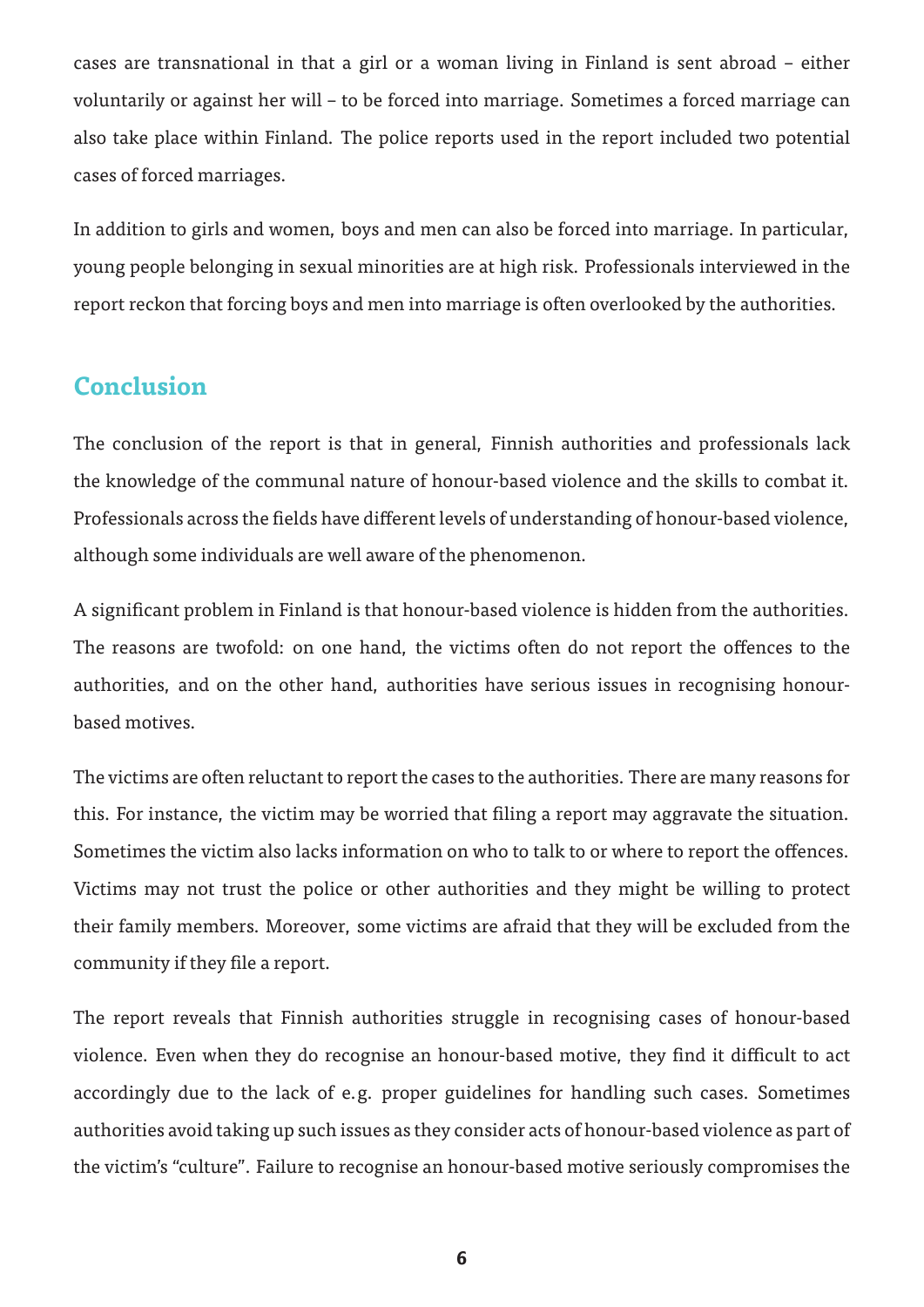cases are transnational in that a girl or a woman living in Finland is sent abroad – either voluntarily or against her will – to be forced into marriage. Sometimes a forced marriage can also take place within Finland. The police reports used in the report included two potential cases of forced marriages.

In addition to girls and women, boys and men can also be forced into marriage. In particular, young people belonging in sexual minorities are at high risk. Professionals interviewed in the report reckon that forcing boys and men into marriage is often overlooked by the authorities.

#### **Conclusion**

The conclusion of the report is that in general, Finnish authorities and professionals lack the knowledge of the communal nature of honour-based violence and the skills to combat it. Professionals across the fields have different levels of understanding of honour-based violence, although some individuals are well aware of the phenomenon.

A significant problem in Finland is that honour-based violence is hidden from the authorities. The reasons are twofold: on one hand, the victims often do not report the offences to the authorities, and on the other hand, authorities have serious issues in recognising honourbased motives.

The victims are often reluctant to report the cases to the authorities. There are many reasons for this. For instance, the victim may be worried that filing a report may aggravate the situation. Sometimes the victim also lacks information on who to talk to or where to report the offences. Victims may not trust the police or other authorities and they might be willing to protect their family members. Moreover, some victims are afraid that they will be excluded from the community if they file a report.

The report reveals that Finnish authorities struggle in recognising cases of honour-based violence. Even when they do recognise an honour-based motive, they find it difficult to act accordingly due to the lack of e.g. proper guidelines for handling such cases. Sometimes authorities avoid taking up such issues as they consider acts of honour-based violence as part of the victim's "culture". Failure to recognise an honour-based motive seriously compromises the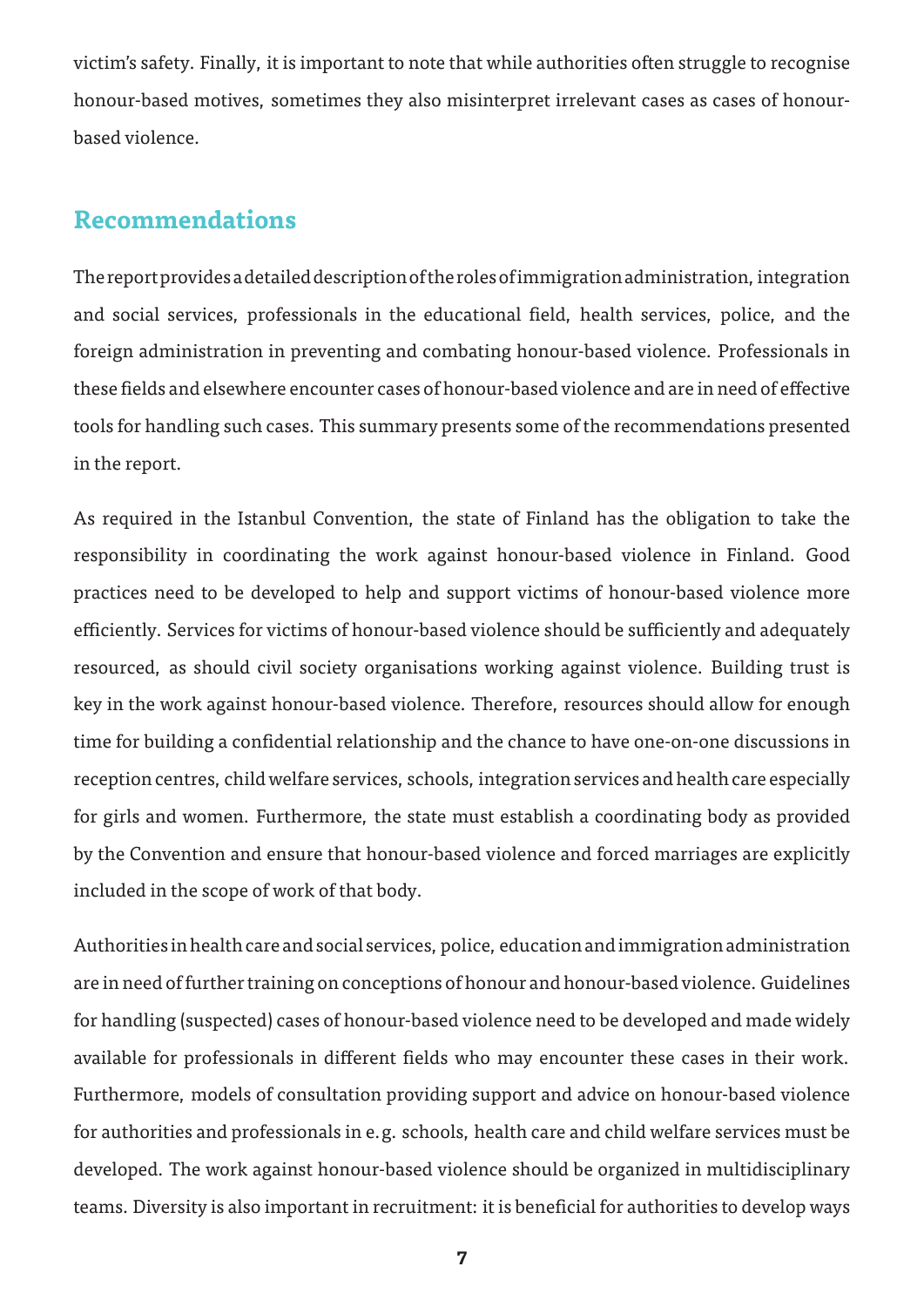victim's safety. Finally, it is important to note that while authorities often struggle to recognise honour-based motives, sometimes they also misinterpret irrelevant cases as cases of honourbased violence.

#### **Recommendations**

The report provides a detailed description of the roles of immigration administration, integration and social services, professionals in the educational field, health services, police, and the foreign administration in preventing and combating honour-based violence. Professionals in these fields and elsewhere encounter cases of honour-based violence and are in need of effective tools for handling such cases. This summary presents some of the recommendations presented in the report.

As required in the Istanbul Convention, the state of Finland has the obligation to take the responsibility in coordinating the work against honour-based violence in Finland. Good practices need to be developed to help and support victims of honour-based violence more efficiently. Services for victims of honour-based violence should be sufficiently and adequately resourced, as should civil society organisations working against violence. Building trust is key in the work against honour-based violence. Therefore, resources should allow for enough time for building a confidential relationship and the chance to have one-on-one discussions in reception centres, child welfare services, schools, integration services and health care especially for girls and women. Furthermore, the state must establish a coordinating body as provided by the Convention and ensure that honour-based violence and forced marriages are explicitly included in the scope of work of that body.

Authorities in health care and social services, police, education and immigration administration are in need of further training on conceptions of honour and honour-based violence. Guidelines for handling (suspected) cases of honour-based violence need to be developed and made widely available for professionals in different fields who may encounter these cases in their work. Furthermore, models of consultation providing support and advice on honour-based violence for authorities and professionals in e.g. schools, health care and child welfare services must be developed. The work against honour-based violence should be organized in multidisciplinary teams. Diversity is also important in recruitment: it is beneficial for authorities to develop ways